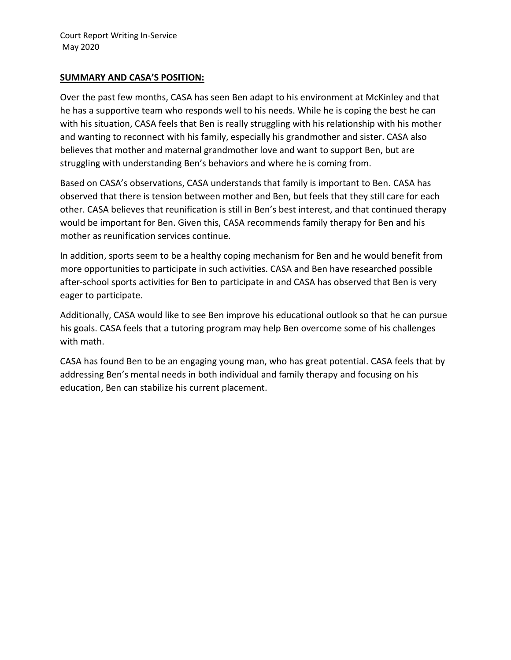#### **SUMMARY AND CASA'S POSITION:**

Over the past few months, CASA has seen Ben adapt to his environment at McKinley and that he has a supportive team who responds well to his needs. While he is coping the best he can with his situation, CASA feels that Ben is really struggling with his relationship with his mother and wanting to reconnect with his family, especially his grandmother and sister. CASA also believes that mother and maternal grandmother love and want to support Ben, but are struggling with understanding Ben's behaviors and where he is coming from.

Based on CASA's observations, CASA understands that family is important to Ben. CASA has observed that there is tension between mother and Ben, but feels that they still care for each other. CASA believes that reunification is still in Ben's best interest, and that continued therapy would be important for Ben. Given this, CASA recommends family therapy for Ben and his mother as reunification services continue.

In addition, sports seem to be a healthy coping mechanism for Ben and he would benefit from more opportunities to participate in such activities. CASA and Ben have researched possible after-school sports activities for Ben to participate in and CASA has observed that Ben is very eager to participate.

Additionally, CASA would like to see Ben improve his educational outlook so that he can pursue his goals. CASA feels that a tutoring program may help Ben overcome some of his challenges with math.

CASA has found Ben to be an engaging young man, who has great potential. CASA feels that by addressing Ben's mental needs in both individual and family therapy and focusing on his education, Ben can stabilize his current placement.